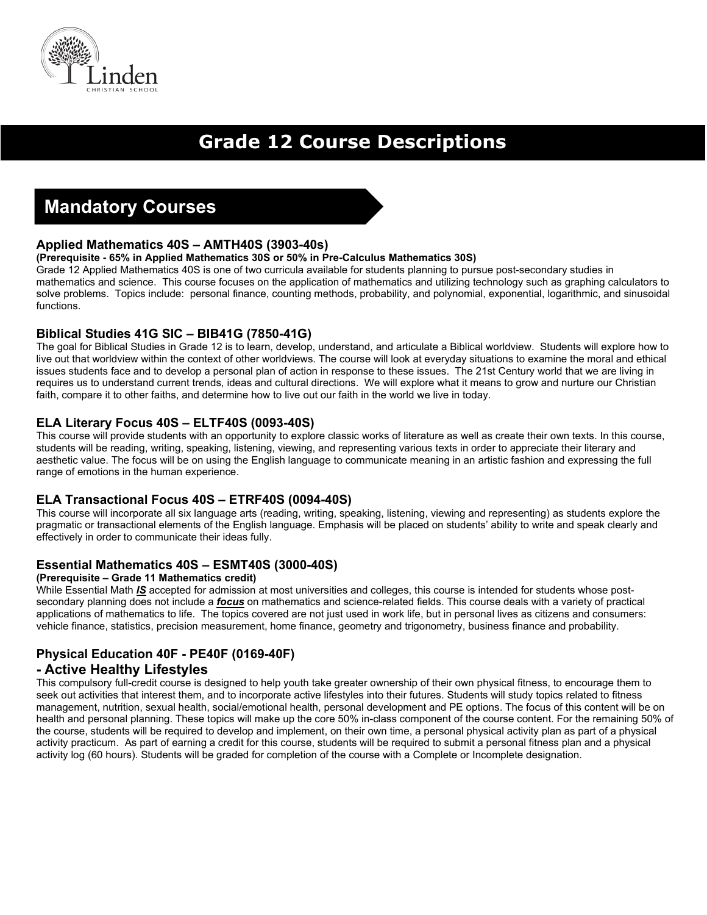

# **Grade 12 Course Descriptions**

# **Mandatory Courses**

## **Applied Mathematics 40S – AMTH40S (3903-40s)**

#### **(Prerequisite - 65% in Applied Mathematics 30S or 50% in Pre-Calculus Mathematics 30S)**

Grade 12 Applied Mathematics 40S is one of two curricula available for students planning to pursue post-secondary studies in mathematics and science. This course focuses on the application of mathematics and utilizing technology such as graphing calculators to solve problems. Topics include: personal finance, counting methods, probability, and polynomial, exponential, logarithmic, and sinusoidal functions.

## **Biblical Studies 41G SIC – BIB41G (7850-41G)**

The goal for Biblical Studies in Grade 12 is to learn, develop, understand, and articulate a Biblical worldview. Students will explore how to live out that worldview within the context of other worldviews. The course will look at everyday situations to examine the moral and ethical issues students face and to develop a personal plan of action in response to these issues. The 21st Century world that we are living in requires us to understand current trends, ideas and cultural directions. We will explore what it means to grow and nurture our Christian faith, compare it to other faiths, and determine how to live out our faith in the world we live in today.

## **ELA Literary Focus 40S – ELTF40S (0093-40S)**

This course will provide students with an opportunity to explore classic works of literature as well as create their own texts. In this course, students will be reading, writing, speaking, listening, viewing, and representing various texts in order to appreciate their literary and aesthetic value. The focus will be on using the English language to communicate meaning in an artistic fashion and expressing the full range of emotions in the human experience.

## **ELA Transactional Focus 40S – ETRF40S (0094-40S)**

This course will incorporate all six language arts (reading, writing, speaking, listening, viewing and representing) as students explore the pragmatic or transactional elements of the English language. Emphasis will be placed on students' ability to write and speak clearly and effectively in order to communicate their ideas fully.

## **Essential Mathematics 40S – ESMT40S (3000-40S)**

#### **(Prerequisite – Grade 11 Mathematics credit)**

While Essential Math *IS* accepted for admission at most universities and colleges, this course is intended for students whose postsecondary planning does not include a *focus* on mathematics and science-related fields. This course deals with a variety of practical applications of mathematics to life. The topics covered are not just used in work life, but in personal lives as citizens and consumers: vehicle finance, statistics, precision measurement, home finance, geometry and trigonometry, business finance and probability.

## **Physical Education 40F - PE40F (0169-40F) - Active Healthy Lifestyles**

This compulsory full-credit course is designed to help youth take greater ownership of their own physical fitness, to encourage them to seek out activities that interest them, and to incorporate active lifestyles into their futures. Students will study topics related to fitness management, nutrition, sexual health, social/emotional health, personal development and PE options. The focus of this content will be on health and personal planning. These topics will make up the core 50% in-class component of the course content. For the remaining 50% of the course, students will be required to develop and implement, on their own time, a personal physical activity plan as part of a physical activity practicum. As part of earning a credit for this course, students will be required to submit a personal fitness plan and a physical activity log (60 hours). Students will be graded for completion of the course with a Complete or Incomplete designation.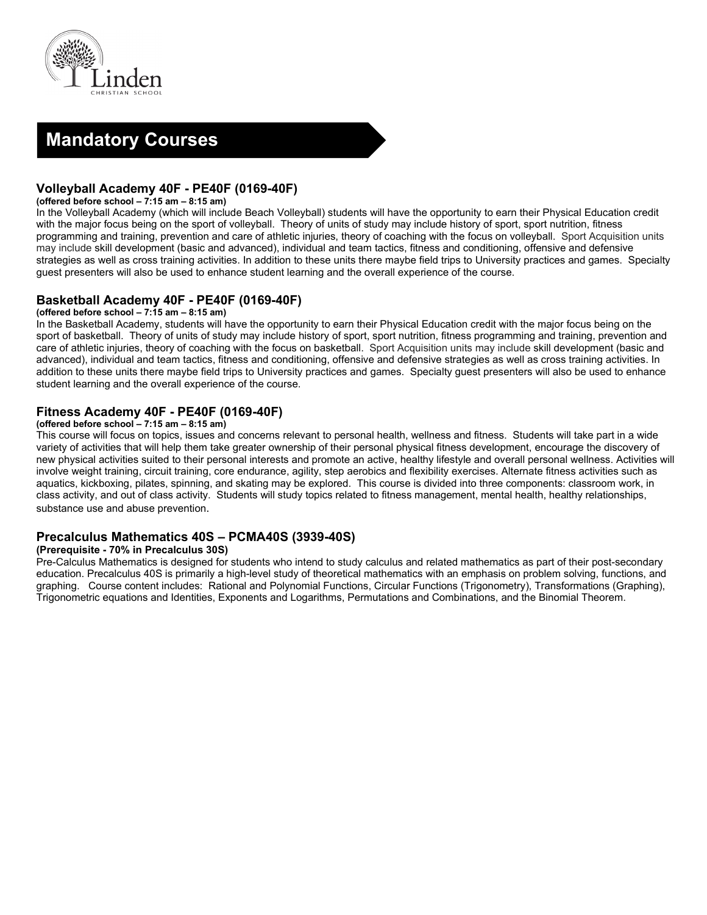



## **Volleyball Academy 40F - PE40F (0169-40F)**

#### **(offered before school – 7:15 am – 8:15 am)**

In the Volleyball Academy (which will include Beach Volleyball) students will have the opportunity to earn their Physical Education credit with the major focus being on the sport of volleyball. Theory of units of study may include history of sport, sport nutrition, fitness programming and training, prevention and care of athletic injuries, theory of coaching with the focus on volleyball. Sport Acquisition units may include skill development (basic and advanced), individual and team tactics, fitness and conditioning, offensive and defensive strategies as well as cross training activities. In addition to these units there maybe field trips to University practices and games. Specialty guest presenters will also be used to enhance student learning and the overall experience of the course.

## **Basketball Academy 40F - PE40F (0169-40F)**

#### **(offered before school – 7:15 am – 8:15 am)**

In the Basketball Academy, students will have the opportunity to earn their Physical Education credit with the major focus being on the sport of basketball. Theory of units of study may include history of sport, sport nutrition, fitness programming and training, prevention and care of athletic injuries, theory of coaching with the focus on basketball. Sport Acquisition units may include skill development (basic and advanced), individual and team tactics, fitness and conditioning, offensive and defensive strategies as well as cross training activities. In addition to these units there maybe field trips to University practices and games. Specialty guest presenters will also be used to enhance student learning and the overall experience of the course.

## **Fitness Academy 40F - PE40F (0169-40F)**

#### **(offered before school – 7:15 am – 8:15 am)**

This course will focus on topics, issues and concerns relevant to personal health, wellness and fitness. Students will take part in a wide variety of activities that will help them take greater ownership of their personal physical fitness development, encourage the discovery of new physical activities suited to their personal interests and promote an active, healthy lifestyle and overall personal wellness. Activities will involve weight training, circuit training, core endurance, agility, step aerobics and flexibility exercises. Alternate fitness activities such as aquatics, kickboxing, pilates, spinning, and skating may be explored. This course is divided into three components: classroom work, in class activity, and out of class activity. Students will study topics related to fitness management, mental health, healthy relationships, substance use and abuse prevention.

## **Precalculus Mathematics 40S – PCMA40S (3939-40S)**

#### **(Prerequisite - 70% in Precalculus 30S)**

Pre-Calculus Mathematics is designed for students who intend to study calculus and related mathematics as part of their post-secondary education. Precalculus 40S is primarily a high-level study of theoretical mathematics with an emphasis on problem solving, functions, and graphing. Course content includes: Rational and Polynomial Functions, Circular Functions (Trigonometry), Transformations (Graphing), Trigonometric equations and Identities, Exponents and Logarithms, Permutations and Combinations, and the Binomial Theorem.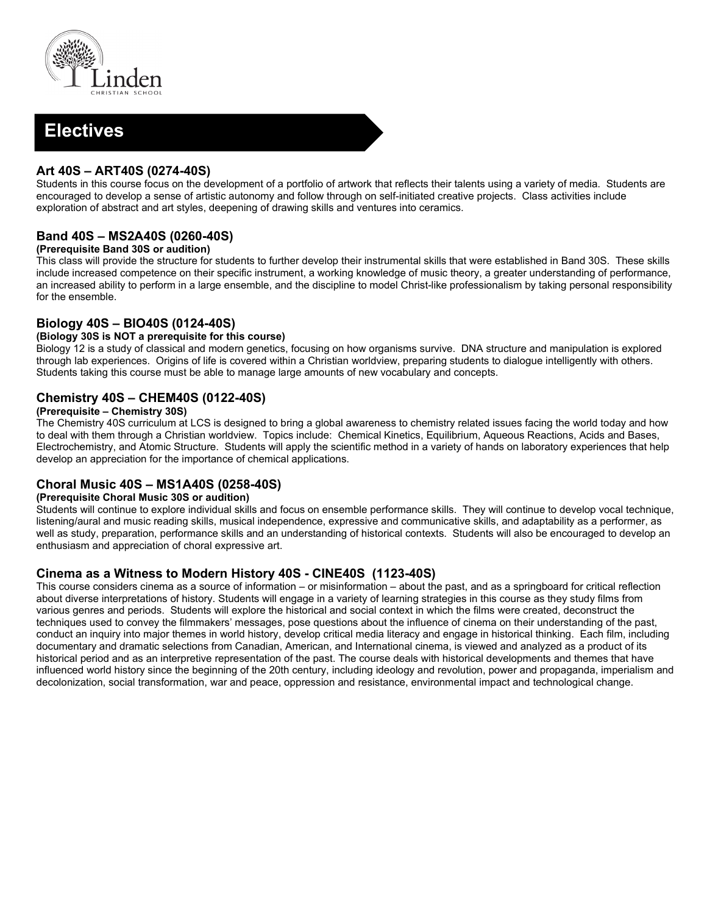

## **Electives**

## **Art 40S – ART40S (0274-40S)**

Students in this course focus on the development of a portfolio of artwork that reflects their talents using a variety of media. Students are encouraged to develop a sense of artistic autonomy and follow through on self-initiated creative projects. Class activities include exploration of abstract and art styles, deepening of drawing skills and ventures into ceramics.

## **Band 40S – MS2A40S (0260-40S)**

#### **(Prerequisite Band 30S or audition)**

This class will provide the structure for students to further develop their instrumental skills that were established in Band 30S. These skills include increased competence on their specific instrument, a working knowledge of music theory, a greater understanding of performance, an increased ability to perform in a large ensemble, and the discipline to model Christ-like professionalism by taking personal responsibility for the ensemble.

## **Biology 40S – BIO40S (0124-40S)**

#### **(Biology 30S is NOT a prerequisite for this course)**

Biology 12 is a study of classical and modern genetics, focusing on how organisms survive. DNA structure and manipulation is explored through lab experiences. Origins of life is covered within a Christian worldview, preparing students to dialogue intelligently with others. Students taking this course must be able to manage large amounts of new vocabulary and concepts.

## **Chemistry 40S – CHEM40S (0122-40S)**

#### **(Prerequisite – Chemistry 30S)**

The Chemistry 40S curriculum at LCS is designed to bring a global awareness to chemistry related issues facing the world today and how to deal with them through a Christian worldview. Topics include: Chemical Kinetics, Equilibrium, Aqueous Reactions, Acids and Bases, Electrochemistry, and Atomic Structure. Students will apply the scientific method in a variety of hands on laboratory experiences that help develop an appreciation for the importance of chemical applications.

## **Choral Music 40S – MS1A40S (0258-40S)**

#### **(Prerequisite Choral Music 30S or audition)**

Students will continue to explore individual skills and focus on ensemble performance skills. They will continue to develop vocal technique, listening/aural and music reading skills, musical independence, expressive and communicative skills, and adaptability as a performer, as well as study, preparation, performance skills and an understanding of historical contexts. Students will also be encouraged to develop an enthusiasm and appreciation of choral expressive art.

## **Cinema as a Witness to Modern History 40S - CINE40S (1123-40S)**

This course considers cinema as a source of information – or misinformation – about the past, and as a springboard for critical reflection about diverse interpretations of history. Students will engage in a variety of learning strategies in this course as they study films from various genres and periods. Students will explore the historical and social context in which the films were created, deconstruct the techniques used to convey the filmmakers' messages, pose questions about the influence of cinema on their understanding of the past, conduct an inquiry into major themes in world history, develop critical media literacy and engage in historical thinking. Each film, including documentary and dramatic selections from Canadian, American, and International cinema, is viewed and analyzed as a product of its historical period and as an interpretive representation of the past. The course deals with historical developments and themes that have influenced world history since the beginning of the 20th century, including ideology and revolution, power and propaganda, imperialism and decolonization, social transformation, war and peace, oppression and resistance, environmental impact and technological change.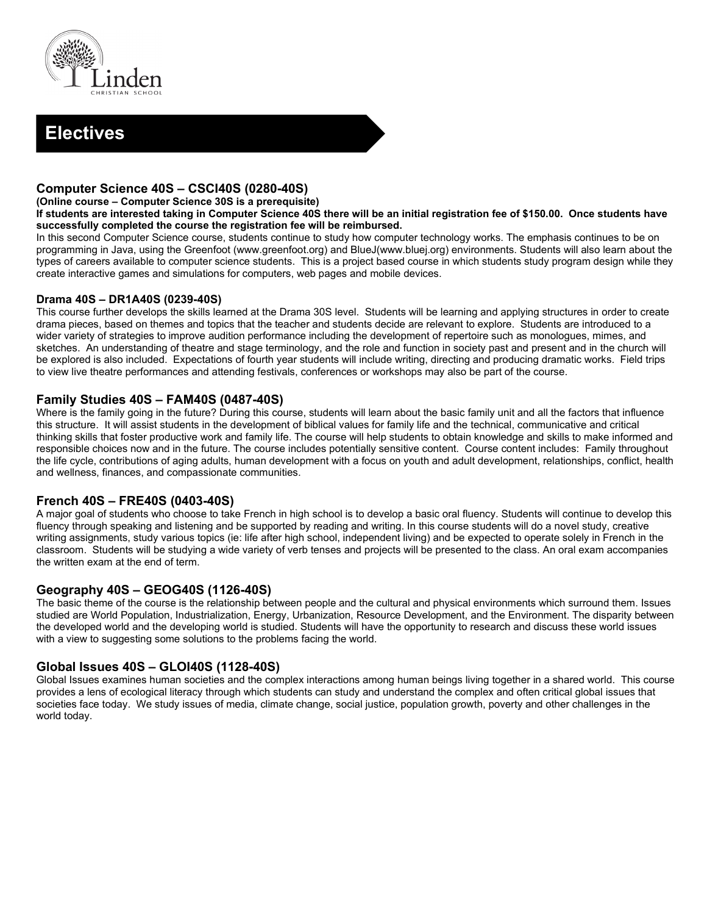



## **Computer Science 40S – CSCI40S (0280-40S)**

#### **(Online course – Computer Science 30S is a prerequisite)**

**If students are interested taking in Computer Science 40S there will be an initial registration fee of \$150.00. Once students have successfully completed the course the registration fee will be reimbursed.** 

In this second Computer Science course, students continue to study how computer technology works. The emphasis continues to be on programming in Java, using the Greenfoot (www.greenfoot.org) and BlueJ(www.bluej.org) environments. Students will also learn about the types of careers available to computer science students. This is a project based course in which students study program design while they create interactive games and simulations for computers, web pages and mobile devices.

#### **Drama 40S – DR1A40S (0239-40S)**

This course further develops the skills learned at the Drama 30S level. Students will be learning and applying structures in order to create drama pieces, based on themes and topics that the teacher and students decide are relevant to explore. Students are introduced to a wider variety of strategies to improve audition performance including the development of repertoire such as monologues, mimes, and sketches. An understanding of theatre and stage terminology, and the role and function in society past and present and in the church will be explored is also included. Expectations of fourth year students will include writing, directing and producing dramatic works. Field trips to view live theatre performances and attending festivals, conferences or workshops may also be part of the course.

## **Family Studies 40S – FAM40S (0487-40S)**

Where is the family going in the future? During this course, students will learn about the basic family unit and all the factors that influence this structure. It will assist students in the development of biblical values for family life and the technical, communicative and critical thinking skills that foster productive work and family life. The course will help students to obtain knowledge and skills to make informed and responsible choices now and in the future. The course includes potentially sensitive content. Course content includes: Family throughout the life cycle, contributions of aging adults, human development with a focus on youth and adult development, relationships, conflict, health and wellness, finances, and compassionate communities.

#### **French 40S – FRE40S (0403-40S)**

A major goal of students who choose to take French in high school is to develop a basic oral fluency. Students will continue to develop this fluency through speaking and listening and be supported by reading and writing. In this course students will do a novel study, creative writing assignments, study various topics (ie: life after high school, independent living) and be expected to operate solely in French in the classroom. Students will be studying a wide variety of verb tenses and projects will be presented to the class. An oral exam accompanies the written exam at the end of term.

## **Geography 40S – GEOG40S (1126-40S)**

The basic theme of the course is the relationship between people and the cultural and physical environments which surround them. Issues studied are World Population, Industrialization, Energy, Urbanization, Resource Development, and the Environment. The disparity between the developed world and the developing world is studied. Students will have the opportunity to research and discuss these world issues with a view to suggesting some solutions to the problems facing the world.

## **Global Issues 40S – GLOI40S (1128-40S)**

Global Issues examines human societies and the complex interactions among human beings living together in a shared world. This course provides a lens of ecological literacy through which students can study and understand the complex and often critical global issues that societies face today. We study issues of media, climate change, social justice, population growth, poverty and other challenges in the world today.